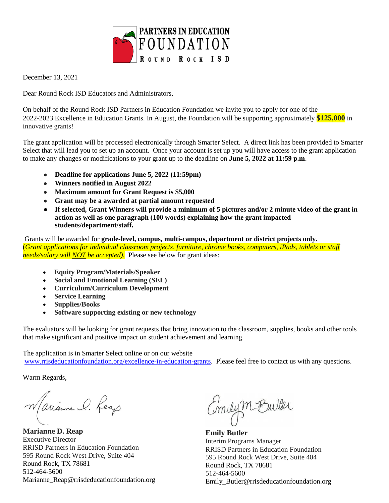

December 13, 2021

Dear Round Rock ISD Educators and Administrators,

On behalf of the Round Rock ISD Partners in Education Foundation we invite you to apply for one of the 2022-2023 Excellence in Education Grants. In August, the Foundation will be supporting approximately **\$125,000** in innovative grants!

The grant application will be processed electronically through Smarter Select. A direct link has been provided to Smarter Select that will lead you to set up an account. Once your account is set up you will have access to the grant application to make any changes or modifications to your grant up to the deadline on **June 5, 2022 at 11:59 p.m**.

- **Deadline for applications June 5, 2022 (11:59pm)**
- **Winners notified in August 2022**
- **Maximum amount for Grant Request is \$5,000**
- **Grant may be a awarded at partial amount requested**
- **If selected, Grant Winners will provide a minimum of 5 pictures and/or 2 minute video of the grant in action as well as one paragraph (100 words) explaining how the grant impacted students/department/staff.**

Grants will be awarded for **grade-level, campus, multi-campus, department or district projects only.**  (*Grant applications for individual classroom projects, furniture, chrome books, computers, iPads, tablets or staff needs/salary will NOT be accepted).* Please see below for grant ideas:

- **Equity Program/Materials/Speaker**
- **Social and Emotional Learning (SEL)**
- **Curriculum/Curriculum Development**
- **Service Learning**
- **Supplies/Books**
- **Software supporting existing or new technology**

The evaluators will be looking for grant requests that bring innovation to the classroom, supplies, books and other tools that make significant and positive impact on student achievement and learning.

The application is in Smarter Select online or on our website [www.rrisdeducationfoundation.org/excellence-in-education-grants.](https://www.rrisdeducationfoundation.org/excellence-in-education-grants) Please feel free to contact us with any questions.

Warm Regards,

Warrianne I. Reap

**Marianne D. Reap**  Executive Director RRISD Partners in Education Foundation 595 Round Rock West Drive, Suite 404 Round Rock, TX 78681 512-464-5600 [Marianne\\_Reap@rrisdeducationfoundation.org](mailto:Marianne_Reap@rrisdeducationfoundation.org)

Emilym Butter

**Emily Butler** Interim Programs Manager RRISD Partners in Education Foundation 595 Round Rock West Drive, Suite 404 Round Rock, TX 78681 512-464-5600 Emily\_Butler@rrisdeducationfoundation.org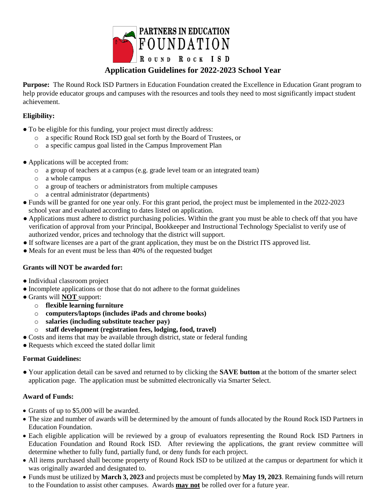

## **Application Guidelines for 2022-2023 School Year**

**Purpose:** The Round Rock ISD Partners in Education Foundation created the Excellence in Education Grant program to help provide educator groups and campuses with the resources and tools they need to most significantly impact student achievement.

#### **Eligibility:**

- To be eligible for this funding, your project must directly address:
	- o a specific Round Rock ISD goal set forth by the Board of Trustees, or
	- o a specific campus goal listed in the Campus Improvement Plan
- Applications will be accepted from:
	- o a group of teachers at a campus (e.g. grade level team or an integrated team)
	- o a whole campus
	- o a group of teachers or administrators from multiple campuses
	- o a central administrator (departments)
- Funds will be granted for one year only. For this grant period, the project must be implemented in the 2022-2023 school year and evaluated according to dates listed on application.
- Applications must adhere to district purchasing policies. Within the grant you must be able to check off that you have verification of approval from your Principal, Bookkeeper and Instructional Technology Specialist to verify use of authorized vendor, prices and technology that the district will support.
- If software licenses are a part of the grant application, they must be on the District ITS approved list.
- Meals for an event must be less than 40% of the requested budget

#### **Grants will NOT be awarded for:**

- Individual classroom project
- Incomplete applications or those that do not adhere to the format guidelines
- Grants will **NOT** support:
	- o **flexible learning furniture**
	- o **computers/laptops (includes iPads and chrome books)**
	- o **salaries (including substitute teacher pay)**
	- o **staff development (registration fees, lodging, food, travel)**
- Costs and items that may be available through district, state or federal funding
- Requests which exceed the stated dollar limit

#### **Format Guidelines:**

● Your application detail can be saved and returned to by clicking the **SAVE button** at the bottom of the smarter select application page. The application must be submitted electronically via Smarter Select.

#### **Award of Funds:**

- Grants of up to \$5,000 will be awarded.
- The size and number of awards will be determined by the amount of funds allocated by the Round Rock ISD Partners in Education Foundation.
- Each eligible application will be reviewed by a group of evaluators representing the Round Rock ISD Partners in Education Foundation and Round Rock ISD. After reviewing the applications, the grant review committee will determine whether to fully fund, partially fund, or deny funds for each project.
- All items purchased shall become property of Round Rock ISD to be utilized at the campus or department for which it was originally awarded and designated to.
- Funds must be utilized by **March 3, 2023** and projects must be completed by **May 19, 2023**. Remaining funds will return to the Foundation to assist other campuses. Awards **may not** be rolled over for a future year.